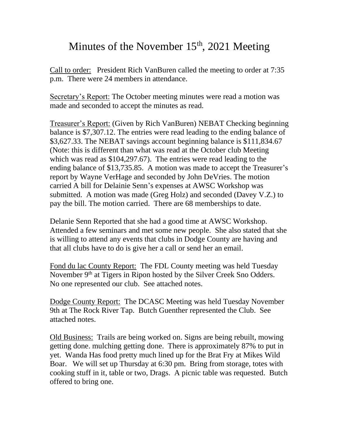## Minutes of the November  $15<sup>th</sup>$ , 2021 Meeting

Call to order: President Rich VanBuren called the meeting to order at 7:35 p.m. There were 24 members in attendance.

Secretary's Report: The October meeting minutes were read a motion was made and seconded to accept the minutes as read.

Treasurer's Report: (Given by Rich VanBuren) NEBAT Checking beginning balance is \$7,307.12. The entries were read leading to the ending balance of \$3,627.33. The NEBAT savings account beginning balance is \$111,834.67 (Note: this is different than what was read at the October club Meeting which was read as \$104,297.67). The entries were read leading to the ending balance of \$13,735.85. A motion was made to accept the Treasurer's report by Wayne VerHage and seconded by John DeVries. The motion carried A bill for Delainie Senn's expenses at AWSC Workshop was submitted. A motion was made (Greg Holz) and seconded (Davey V.Z.) to pay the bill. The motion carried. There are 68 memberships to date.

Delanie Senn Reported that she had a good time at AWSC Workshop. Attended a few seminars and met some new people. She also stated that she is willing to attend any events that clubs in Dodge County are having and that all clubs have to do is give her a call or send her an email.

Fond du lac County Report: The FDL County meeting was held Tuesday November 9<sup>th</sup> at Tigers in Ripon hosted by the Silver Creek Sno Odders. No one represented our club. See attached notes.

Dodge County Report: The DCASC Meeting was held Tuesday November 9th at The Rock River Tap. Butch Guenther represented the Club. See attached notes.

Old Business: Trails are being worked on. Signs are being rebuilt, mowing getting done. mulching getting done. There is approximately 87% to put in yet. Wanda Has food pretty much lined up for the Brat Fry at Mikes Wild Boar. We will set up Thursday at 6:30 pm. Bring from storage, totes with cooking stuff in it, table or two, Drags. A picnic table was requested. Butch offered to bring one.